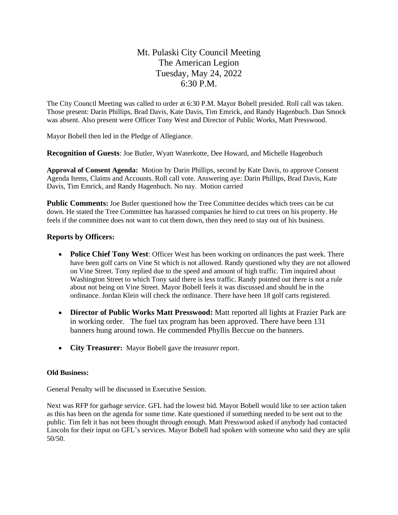# Mt. Pulaski City Council Meeting The American Legion Tuesday, May 24, 2022 6:30 P.M.

The City Council Meeting was called to order at 6:30 P.M. Mayor Bobell presided. Roll call was taken. Those present: Darin Phillips, Brad Davis, Kate Davis, Tim Emrick, and Randy Hagenbuch. Dan Smock was absent. Also present were Officer Tony West and Director of Public Works, Matt Presswood.

Mayor Bobell then led in the Pledge of Allegiance.

**Recognition of Guests**: Joe Butler, Wyatt Waterkotte, Dee Howard, and Michelle Hagenbuch

**Approval of Consent Agenda:** Motion by Darin Phillips, second by Kate Davis, to approve Consent Agenda Items, Claims and Accounts. Roll call vote. Answering aye: Darin Phillips, Brad Davis, Kate Davis, Tim Emrick, and Randy Hagenbuch. No nay. Motion carried

**Public Comments:** Joe Butler questioned how the Tree Committee decides which trees can be cut down. He stated the Tree Committee has harassed companies he hired to cut trees on his property. He feels if the committee does not want to cut them down, then they need to stay out of his business.

## **Reports by Officers:**

- **Police Chief Tony West**: Officer West has been working on ordinances the past week. There have been golf carts on Vine St which is not allowed. Randy questioned why they are not allowed on Vine Street. Tony replied due to the speed and amount of high traffic. Tim inquired about Washington Street to which Tony said there is less traffic. Randy pointed out there is not a rule about not being on Vine Street. Mayor Bobell feels it was discussed and should be in the ordinance. Jordan Klein will check the ordinance. There have been 18 golf carts registered.
- **Director of Public Works Matt Presswood:** Matt reported all lights at Frazier Park are in working order. The fuel tax program has been approved. There have been 131 banners hung around town. He commended Phyllis Beccue on the banners.
- **City Treasurer:** Mayor Bobell gave the treasurer report.

### **Old Business:**

General Penalty will be discussed in Executive Session.

Next was RFP for garbage service. GFL had the lowest bid. Mayor Bobell would like to see action taken as this has been on the agenda for some time. Kate questioned if something needed to be sent out to the public. Tim felt it has not been thought through enough. Matt Presswood asked if anybody had contacted Lincoln for their input on GFL's services. Mayor Bobell had spoken with someone who said they are split 50/50.